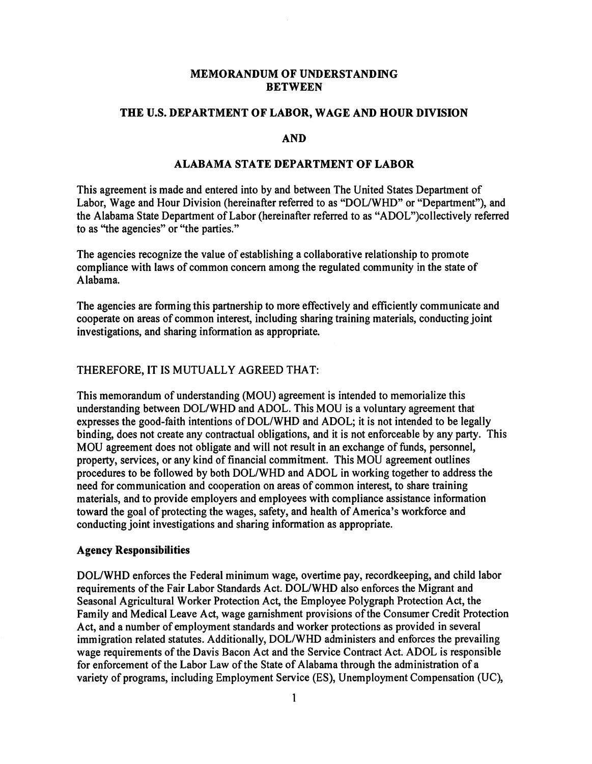### **MEMORANDUM OF UNDERSTANDING BETWEEN**

#### **THE U.S. DEPARTMENT OF LABOR, WAGE AND HOUR DIVISION**

#### **AND**

#### **ALABAMA STATE DEPARTMENT OF LABOR**

This agreement is made and entered into by and between The United States Department of Labor, Wage and Hour Division (hereinafter referred to as "DOL/WHD" or "Department"), and the Alabama State Department ofLabor (hereinafter referred to as "ADOL")collectively referred to as ''the agencies" or "the parties."

The agencies recognize the value of establishing a collaborative relationship to promote compliance with laws of common concern among the regulated community in the state of Alabama.

The agencies are forming this partnership to more effectively and efficiently communicate and cooperate on areas of common interest, including sharing training materials, conducting joint investigations, and sharing information as appropriate.

### THEREFORE, IT IS MUTUALLY AGREED THAT:

This memorandum of understanding (MOU) agreement is intended to memorialize this understanding between DOL/WHD and ADOL. This MOU is a voluntary agreement that expresses the good-faith intentions of DOL/WHD and ADOL; it is not intended to be legally binding, does not create any contractual obligations, and it is not enforceable by any party. This MOU agreement does not obligate and will not result in an exchange of funds, personnel, property, services, or any kind of financial commitment. This MOU agreement outlines procedures to be followed by both DOL/WHD and ADOL in working together to address the need for communication and cooperation on areas of common interest, to share training materials, and to provide employers and employees with compliance assistance information toward the goal of protecting the wages, safety, and health of America's workforce and conducting joint investigations and sharing information as appropriate.

#### **Agency Responsibilities**

DOL/WHD enforces the Federal minimum wage, overtime pay, recordkeeping, and child labor requirements of the Fair Labor Standards Act. DOL/WHD also enforces the Migrant and Seasonal Agricultural Worker Protection Act, the Employee Polygraph Protection Act, the Family and Medical Leave Act, wage garnishment provisions of the Consumer Credit Protection Act, and a number of employment standards and worker protections as provided in several immigration related statutes. Additionally, DOL/WHD administers and enforces the prevailing wage requirements of the Davis Bacon Act and the Service Contract Act. ADOL is responsible for enforcement of the Labor Law of the State of Alabama through the administration of a variety of programs, including Employment Service (ES), Unemployment Compensation (UC),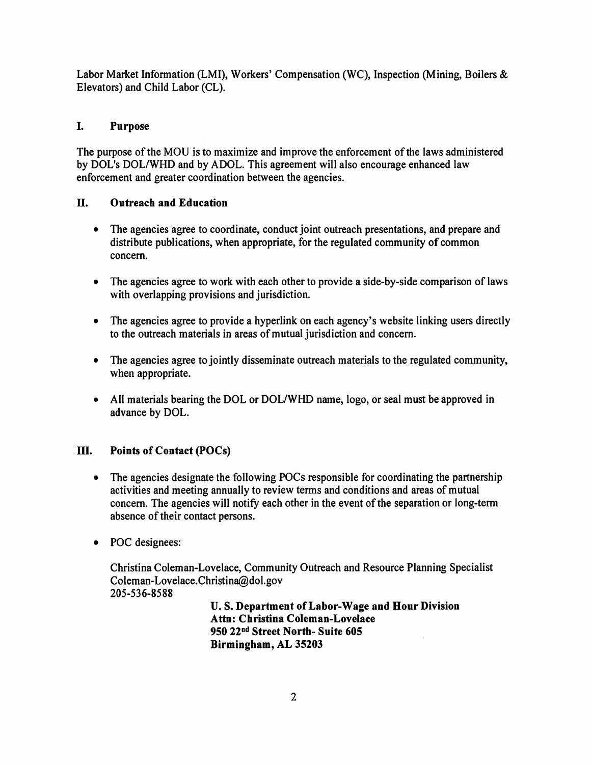Labor Market Information (LMI), Workers' Compensation (WC), Inspection (Mining, Boilers & Elevators) and Child Labor (CL).

# I. **Purpose**

The purpose of the MOU is to maximize and improve the enforcement of the laws administered by DOL's DOL/WHD and by ADOL. This agreement will also encourage enhanced law enforcement and greater coordination between the agencies.

# II. **Outreach and Education**

- The agencies agree to coordinate, conduct joint outreach presentations, and prepare and distribute publications, when appropriate, for the regulated community of common concern.
- The agencies agree to work with each other to provide a side-by-side comparison of laws with overlapping provisions and jurisdiction.
- The agencies agree to provide a hyperlink on each agency's website linking users directly to the outreach materials in areas of mutual jurisdiction and concern.
- The agencies agree to jointly disseminate outreach materials to the regulated community, when appropriate.
- All materials bearing the DOL or DOL/WHD name, logo, or seal must be approved in advance by DOL.

# **III.** Points of Contact (POCs)

- The agencies designate the following POCs responsible for coordinating the partnership activities and meeting annually to review terms and conditions and areas of mutual concern. The agencies will notify each other in the event of the separation or long-term absence of their contact persons.
- POC designees:

Christina Coleman-Lovelace, Community Outreach and Resource Planning Specialist [Coleman-Lovelace.Christina@dol.gov](mailto:Coleman-Lovelace.Christina@dol.gov) 205-536-8588

> **U.S. Department ofLabor-Wage and Hour Division Attn: Christina Coleman-Lovelace 950 22nd Street North- Suite 605 Birmingham, AL 35203**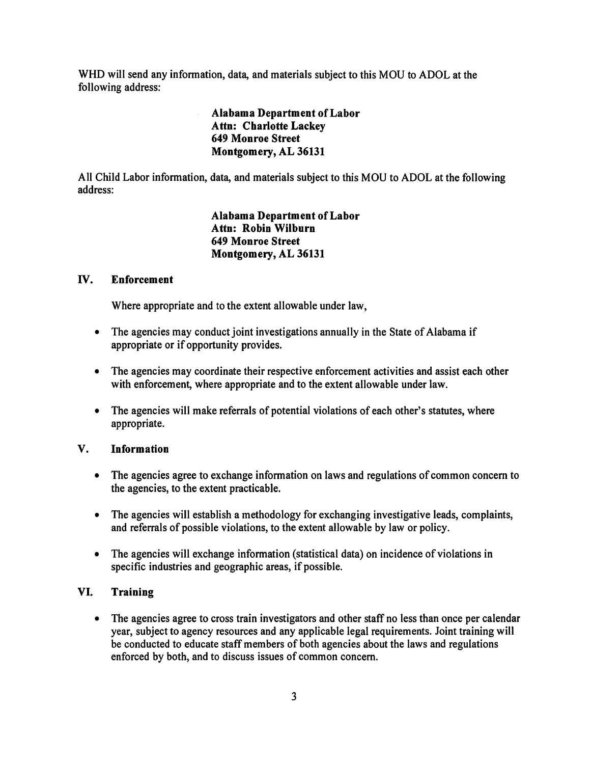WHO will send any information, data, and materials subject to this MOU to ADOL at the following address:

> **Alabama Department ofLabor Attn: Charlotte Lackey 649 Monroe Street Montgomery, AL 36131**

All Child Labor information, data, and materials subject to this MOU to ADOL at the following address:

> **Alabama Department ofLabor Attn: Robin Wilburn 649 Monroe Street Montgomery, AL 36131**

### IV. **Enforcement**

Where appropriate and to the extent allowable under law,

- The agencies may conduct joint investigations annually in the State of Alabama if appropriate or if opportunity provides.
- The agencies may coordinate their respective enforcement activities and assist each other with enforcement, where appropriate and to the extent allowable under law.
- The agencies will make referrals of potential violations of each other's statutes, where appropriate.

### **V. Information**

- The agencies agree to exchange information on laws and regulations of common concern to the agencies, to the extent practicable.
- The agencies will establish a methodology for exchanging investigative leads, complaints, and referrals of possible violations, to the extent allowable by law or policy.
- The agencies will exchange information (statistical data) on incidence of violations in specific industries and geographic areas, if possible.

# **VI. Training**

• The agencies agree to cross train investigators and other staff no less than once per calendar year, subject to agency resources and any applicable legal requirements. Joint training will be conducted to educate staff members of both agencies about the laws and regulations enforced by both, and to discuss issues of common concern.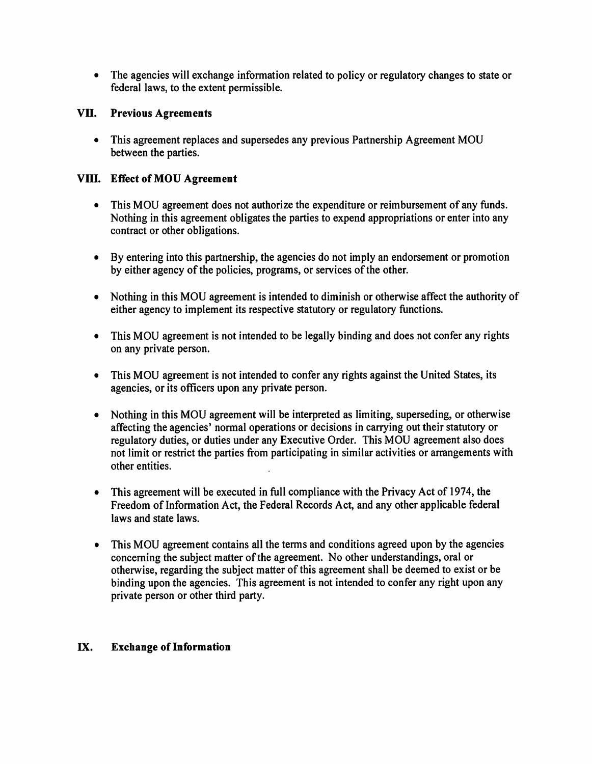• The agencies will exchange information related to policy or regulatory changes to state or federal laws, to the extent permissible.

## **VII. Previous Agreements**

• This agreement replaces and supersedes any previous Partnership Agreement MOU between the parties.

# **Vlli. Effect of MOU Agreement**

- This MOU agreement does not authorize the expenditure or reimbursement of any funds. Nothing in this agreement obligates the parties to expend appropriations or enter into any contract or other obligations.
- By entering into this partnership, the agencies do not imply an endorsement or promotion by either agency of the policies, programs, or services of the other.
- Nothing in this MOU agreement is intended to diminish or otherwise affect the authority of either agency to implement its respective statutory or regulatory functions.
- This MOU agreement is not intended to be legally binding and does not confer any rights on any private person.
- This MOU agreement is not intended to confer any rights against the United States, its agencies, or its officers upon any private person.
- Nothing in this MOU agreement will be interpreted as limiting, superseding, or otherwise affecting the agencies' normal operations or decisions in carrying out their statutory or regulatory duties, or duties under any Executive Order. This MOU agreement also does not limit or restrict the parties from participating in similar activities or arrangements with other entities.
- This agreement will be executed in full compliance with the Privacy Act of 1974, the Freedom of Information Act, the Federal Records Act, and any other applicable federal laws and state laws.
- This MOU agreement contains all the terms and conditions agreed upon by the agencies concerning the subject matter of the agreement. No other understandings, oral or otherwise, regarding the subject matter of this agreement shall be deemed to exist or be binding upon the agencies. This agreement is not intended to confer any right upon any private person or other third party.

## IX. **Exchange of Information**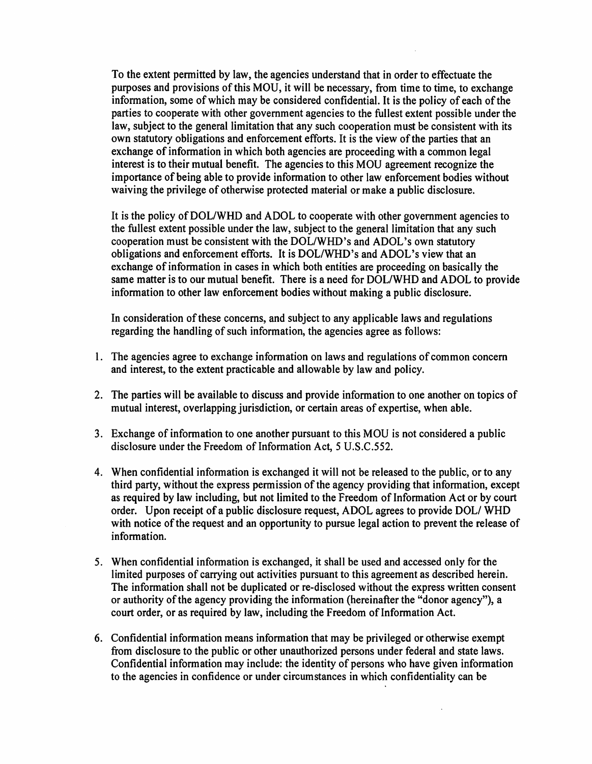To the extent permitted by law, the agencies understand that in order to effectuate the purposes and provisions of this MOU, it will be necessary, from time to time, to exchange information, some of which may be considered confidential. It is the policy of each of the parties to cooperate with other government agencies to the fullest extent possible under the law, subject to the general limitation that any such cooperation must be consistent with its own statutory obligations and enforcement efforts. It is the view of the parties that an exchange of information in which both agencies are proceeding with a common legal interest is to their mutual benefit. The agencies to this MOU agreement recognize the importance of being able to provide information to other law enforcement bodies without waiving the privilege of otherwise protected material or make a public disclosure.

It is the policy ofDOL/WHD and ADOL to cooperate with other government agencies to the fullest extent possible under the law, subject to the general limitation that any such cooperation must be consistent with the DOL/WHD's and ADOL's own statutory obligations and enforcement efforts. It is DOL/WHD's and ADOL's view that an exchange of information in cases in which both entities are proceeding on basically the same matter is to our mutual benefit. There is a need for DOL/WHD and ADOL to provide information to other law enforcement bodies without making a public disclosure.

In consideration ofthese concerns, and subject to any applicable laws and regulations regarding the handling of such information, the agencies agree as follows:

- 1. The agencies agree to exchange information on laws and regulations of common concern and interest, to the extent practicable and allowable by law and policy.
- 2. The parties will be available to discuss and provide information to one another on topics of mutual interest, overlapping jurisdiction, or certain areas of expertise, when able.
- 3. Exchange of information to one another pursuant to this MOU is not considered a public disclosure under the Freedom of Information Act, 5 U.S.C.552.
- 4. When confidential information is exchanged it will not be released to the public, or to any third party, without the express permission of the agency providing that information, except as required by law including, but not limited to the Freedom of Information Act or by court order. Upon receipt of a public disclosure request, ADOL agrees to provide DOL/WHD with notice of the request and an opportunity to pursue legal action to prevent the release of information.
- 5. When confidential information is exchanged, it shall be used and accessed only for the limited purposes of carrying out activities pursuant to this agreement as described herein. The information shall not be duplicated or re-disclosed without the express written consent or authority of the agency providing the information (hereinafter the "donor agency"), a court order, or as required by law, including the Freedom of Information Act.
- 6. Confidential information means information that may be privileged or otherwise exempt from disclosure to the public or other unauthorized persons under federal and state laws. Confidential information may include: the identity of persons who have given information to the agencies in confidence or under circumstances in which confidentiality can be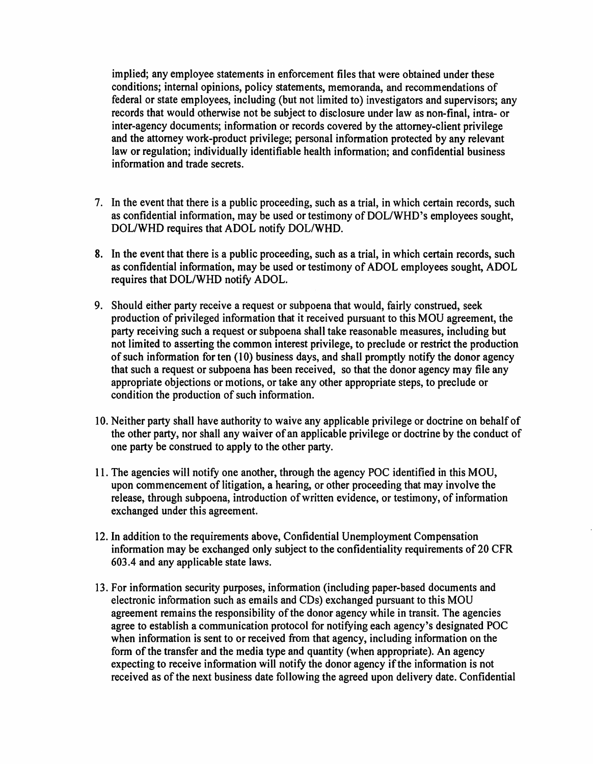implied; any employee statements in enforcement files that were obtained under these conditions; internal opinions, policy statements, memoranda, and recommendations of federal or state employees, including (but not limited to) investigators and supervisors; any records that would otherwise not be subject to disclosure under law as non-final, intra- or inter-agency documents; information or records covered by the attorney-client privilege and the attorney work-product privilege; personal information protected by any relevant law or regulation; individually identifiable health information; and confidential business information and trade secrets.

- 7. In the event that there is a public proceeding, such as a trial, in which certain records, such as confidential information, may be used or testimony of DOL/WHD's employees sought, DOL/WHD requires that ADOL notify DOL/WHD.
- 8. In the event that there is a public proceeding, such as a trial, in which certain records, such as confidential information, may be used or testimony of ADOL employees sought, ADOL requires that DOL/WHD notify ADOL.
- 9. Should either party receive a request or subpoena that would, fairly construed, seek production of privileged information that it received pursuant to this MOU agreement, the party receiving such a request or subpoena shall take reasonable measures, including but not limited to asserting the common interest privilege, to preclude or restrict the production of such information for ten (10) business days, and shall promptly notify the donor agency that such a request or subpoena has been received, so that the donor agency may file any appropriate objections or motions, or take any other appropriate steps, to preclude or condition the production of such information.
- 10. Neither party shall have authority to waive any applicable privilege or doctrine on behalf of the other party, nor shall any waiver of an applicable privilege or doctrine by the conduct of one party be construed to apply to the other party.
- 11. The agencies will notify one another, through the agency POC identified in this MOU, upon commencement of litigation, a hearing, or other proceeding that may involve the release, through subpoena, introduction of written evidence, or testimony, of information exchanged under this agreement.
- 12. In addition to the requirements above, Confidential Unemployment Compensation information may be exchanged only subject to the confidentiality requirements of 20 CFR 603 .4 and any applicable state laws.
- 13. For information security purposes, information (including paper-based documents and electronic information such as emails and CDs) exchanged pursuant to this MOU agreement remains the responsibility of the donor agency while in transit. The agencies agree to establish a communication protocol for notifying each agency's designated POC when information is sent to or received from that agency, including information on the form of the transfer and the media type and quantity (when appropriate). An agency expecting to receive information will notify the donor agency if the information is not received as of the next business date following the agreed upon delivery date. Confidential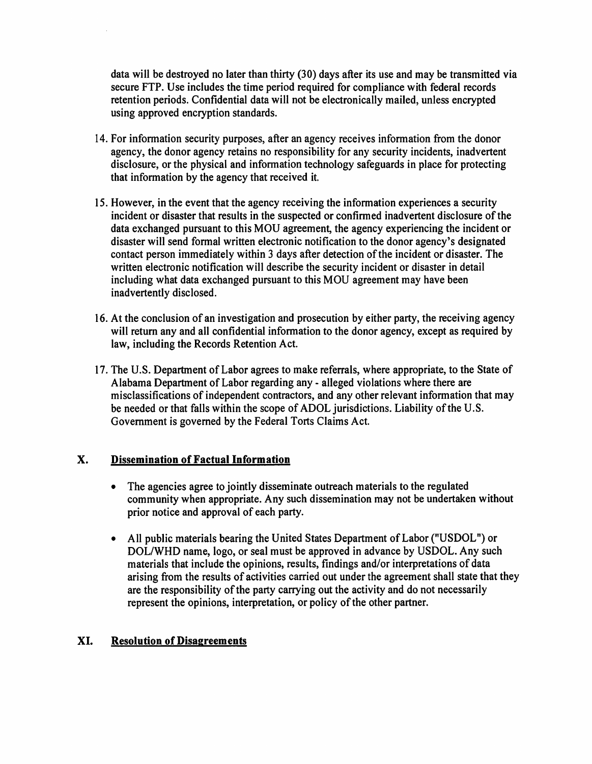data will be destroyed no later than thirty (30) days after its use and may be transmitted via secure FTP. Use includes the time period required for compliance with federal records retention periods. Confidential data will not be electronically mailed, unless encrypted using approved encryption standards.

- 14. For information security purposes, after an agency receives information from the donor agency, the donor agency retains no responsibility for any security incidents, inadvertent disclosure, or the physical and information technology safeguards in place for protecting that information by the agency that received it.
- 15. However, in the event that the agency receiving the information experiences a security incident or disaster that results in the suspected or confirmed inadvertent disclosure of the data exchanged pursuant to this MOU agreement, the agency experiencing the incident or disaster will send formal written electronic notification to the donor agency's designated contact person immediately within 3 days after detection of the incident or disaster. The written electronic notification will describe the security incident or disaster in detail including what data exchanged pursuant to this MOU agreement may have been inadvertently disclosed.
- 16. At the conclusion of an investigation and prosecution by either party, the receiving agency will return any and all confidential information to the donor agency, except as required by law, including the Records Retention Act.
- 17. The U.S. Department of Labor agrees to make referrals, where appropriate, to the State of Alabama Department of Labor regarding any - alleged violations where there are misclassifications of independent contractors, and any other relevant information that may be needed or that falls within the scope of ADOL jurisdictions. Liability of the U.S. Government is governed by the Federal Torts Claims Act.

## **X. Dissemination of Factual Information**

- The agencies agree to jointly disseminate outreach materials to the regulated community when appropriate. Any such dissemination may not be undertaken without prior notice and approval of each party.
- All public materials bearing the United States Department of Labor ("USDOL") or DOL/WHD name, logo, or seal must be approved in advance by USDOL. Any such materials that include the opinions, results, findings and/or interpretations of data arising from the results of activities carried out under the agreement shall state that they are the responsibility of the party carrying out the activity and do not necessarily represent the opinions, interpretation, or policy of the other partner.

## **XI. Resolution of Disagreements**